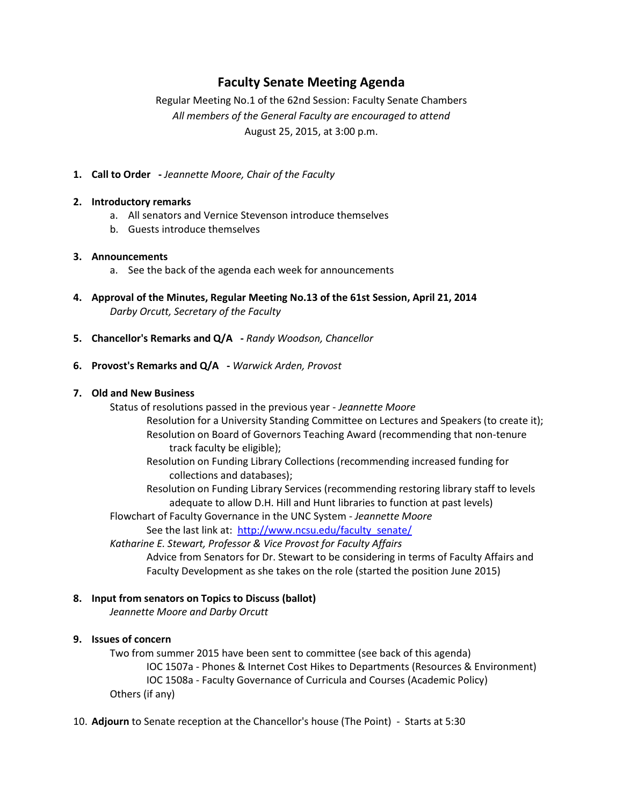# **Faculty Senate Meeting Agenda**

Regular Meeting No.1 of the 62nd Session: Faculty Senate Chambers *All members of the General Faculty are encouraged to attend* August 25, 2015, at 3:00 p.m.

**1. Call to Order -** *Jeannette Moore, Chair of the Faculty*

### **2. Introductory remarks**

- a. All senators and Vernice Stevenson introduce themselves
- b. Guests introduce themselves

### **3. Announcements**

- a. See the back of the agenda each week for announcements
- **4. Approval of the Minutes, Regular Meeting No.13 of the 61st Session, April 21, 2014** *Darby Orcutt, Secretary of the Faculty*
- **5. Chancellor's Remarks and Q/A -** *Randy Woodson, Chancellor*
- **6. Provost's Remarks and Q/A -** *Warwick Arden, Provost*

### **7. Old and New Business**

Status of resolutions passed in the previous year - *Jeannette Moore*

- Resolution for a University Standing Committee on Lectures and Speakers (to create it); Resolution on Board of Governors Teaching Award (recommending that non-tenure track faculty be eligible);
	- Resolution on Funding Library Collections (recommending increased funding for collections and databases);

Resolution on Funding Library Services (recommending restoring library staff to levels adequate to allow D.H. Hill and Hunt libraries to function at past levels)

Flowchart of Faculty Governance in the UNC System - *Jeannette Moore*

See the last link at: [http://www.ncsu.edu/faculty\\_senate/](http://www.ncsu.edu/faculty_senate/)

*Katharine E. Stewart, Professor & Vice Provost for Faculty Affairs*

Advice from Senators for Dr. Stewart to be considering in terms of Faculty Affairs and Faculty Development as she takes on the role (started the position June 2015)

# **8. Input from senators on Topics to Discuss (ballot)**

*Jeannette Moore and Darby Orcutt*

# **9. Issues of concern**

Two from summer 2015 have been sent to committee (see back of this agenda) IOC 1507a - Phones & Internet Cost Hikes to Departments (Resources & Environment) IOC 1508a - Faculty Governance of Curricula and Courses (Academic Policy) Others (if any)

10. **Adjourn** to Senate reception at the Chancellor's house (The Point) - Starts at 5:30